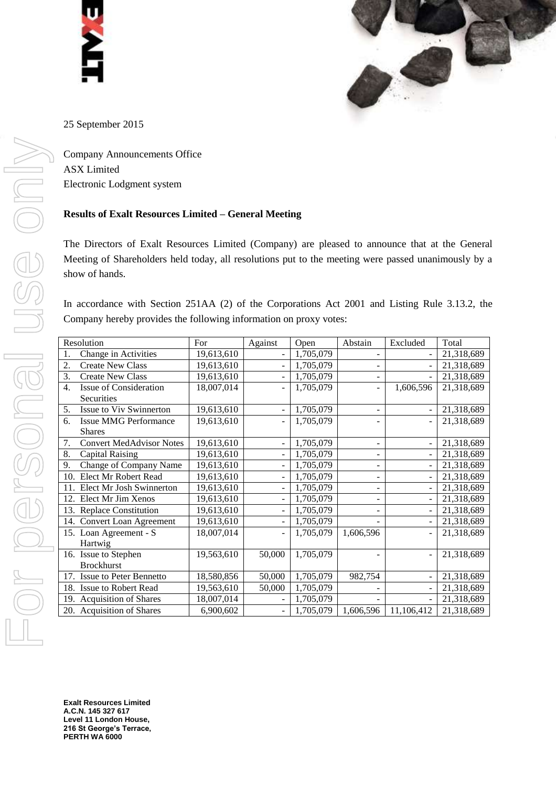



25 September 2015

Company Announcements Office ASX Limited Electronic Lodgment system

## **Results of Exalt Resources Limited – General Meeting**

The Directors of Exalt Resources Limited (Company) are pleased to announce that at the General Meeting of Shareholders held today, all resolutions put to the meeting were passed unanimously by a show of hands.

In accordance with Section 251AA (2) of the Corporations Act 2001 and Listing Rule 3.13.2, the Company hereby provides the following information on proxy votes:

| Resolution |                                 | For        | Against | Open      | Abstain   | Excluded                 | Total      |
|------------|---------------------------------|------------|---------|-----------|-----------|--------------------------|------------|
| 1.         | Change in Activities            | 19,613,610 |         | 1,705,079 |           |                          | 21,318,689 |
| 2.         | <b>Create New Class</b>         | 19,613,610 | ÷       | 1,705,079 | -         | $\overline{a}$           | 21,318,689 |
| 3.         | <b>Create New Class</b>         | 19,613,610 | ٠       | 1,705,079 |           |                          | 21,318,689 |
| 4.         | Issue of Consideration          | 18,007,014 |         | 1,705,079 | -         | 1,606,596                | 21,318,689 |
|            | <b>Securities</b>               |            |         |           |           |                          |            |
| 5.         | Issue to Viv Swinnerton         | 19,613,610 |         | 1,705,079 |           |                          | 21,318,689 |
| 6.         | <b>Issue MMG Performance</b>    | 19,613,610 |         | 1,705,079 |           |                          | 21,318,689 |
|            | <b>Shares</b>                   |            |         |           |           |                          |            |
| 7.         | <b>Convert MedAdvisor Notes</b> | 19,613,610 |         | 1,705,079 |           |                          | 21,318,689 |
| 8.         | <b>Capital Raising</b>          | 19,613,610 |         | 1,705,079 |           |                          | 21,318,689 |
| 9.         | Change of Company Name          | 19,613,610 |         | 1,705,079 |           |                          | 21,318,689 |
| 10.        | Elect Mr Robert Read            | 19,613,610 |         | 1,705,079 |           | $\overline{a}$           | 21,318,689 |
| 11.        | Elect Mr Josh Swinnerton        | 19,613,610 |         | 1,705,079 |           | $\overline{\phantom{0}}$ | 21,318,689 |
| 12.        | Elect Mr Jim Xenos              | 19,613,610 |         | 1,705,079 |           | $\overline{a}$           | 21,318,689 |
|            | 13. Replace Constitution        | 19,613,610 |         | 1,705,079 |           | $\overline{a}$           | 21,318,689 |
|            | 14. Convert Loan Agreement      | 19,613,610 |         | 1,705,079 |           |                          | 21,318,689 |
|            | 15. Loan Agreement - S          | 18,007,014 |         | 1,705,079 | 1,606,596 |                          | 21,318,689 |
|            | Hartwig                         |            |         |           |           |                          |            |
|            | 16. Issue to Stephen            | 19,563,610 | 50,000  | 1,705,079 |           |                          | 21,318,689 |
|            | <b>Brockhurst</b>               |            |         |           |           |                          |            |
| 17.        | Issue to Peter Bennetto         | 18,580,856 | 50,000  | 1,705,079 | 982,754   | $\overline{\phantom{a}}$ | 21,318,689 |
|            | 18. Issue to Robert Read        | 19,563,610 | 50,000  | 1,705,079 |           |                          | 21,318,689 |
| 19.        | <b>Acquisition of Shares</b>    | 18,007,014 |         | 1,705,079 |           |                          | 21,318,689 |
|            | 20. Acquisition of Shares       | 6,900,602  |         | 1,705,079 | 1,606,596 | 11,106,412               | 21,318,689 |

**Exalt Resources Limited A.C.N. 145 327 617 Level 11 London House, 216 St George's Terrace, PERTH WA 6000**